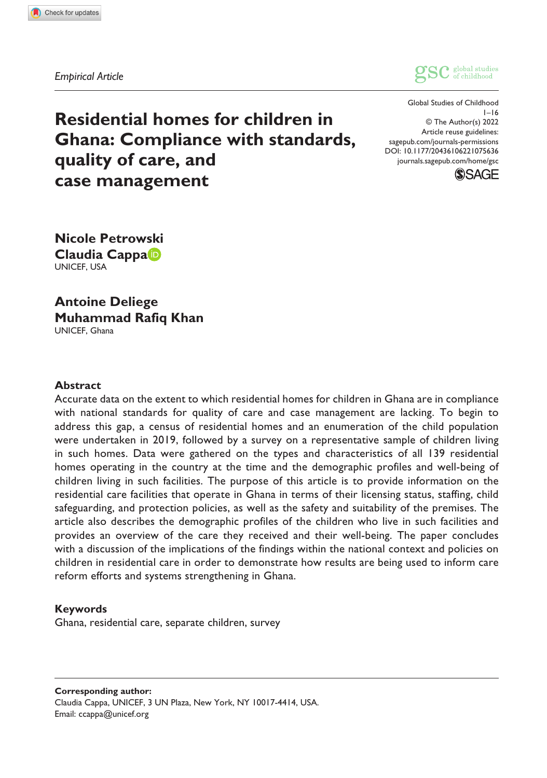*Empirical Article*



DOI: 10.1177/20436106221075636 Global Studies of Childhood  $1 - 16$ © The Author(s) 2022 Article reuse guidelines: [sagepub.com/journals-permissions](https://uk.sagepub.com/en-gb/journals-permissions) [journals.sagepub.com/home/gsc](https://journals.sagepub.com/home/gsc)



**Residential homes for children in Ghana: Compliance with standards, quality of care, and case management**

**Nicole Petrowski Claudia Cappa** UNICEF, USA

**Antoine Deliege Muhammad Rafiq Khan** UNICEF, Ghana

#### **Abstract**

Accurate data on the extent to which residential homes for children in Ghana are in compliance with national standards for quality of care and case management are lacking. To begin to address this gap, a census of residential homes and an enumeration of the child population were undertaken in 2019, followed by a survey on a representative sample of children living in such homes. Data were gathered on the types and characteristics of all 139 residential homes operating in the country at the time and the demographic profiles and well-being of children living in such facilities. The purpose of this article is to provide information on the residential care facilities that operate in Ghana in terms of their licensing status, staffing, child safeguarding, and protection policies, as well as the safety and suitability of the premises. The article also describes the demographic profiles of the children who live in such facilities and provides an overview of the care they received and their well-being. The paper concludes with a discussion of the implications of the findings within the national context and policies on children in residential care in order to demonstrate how results are being used to inform care reform efforts and systems strengthening in Ghana.

#### **Keywords**

Ghana, residential care, separate children, survey

**Corresponding author:** Claudia Cappa, UNICEF, 3 UN Plaza, New York, NY 10017-4414, USA. Email: ccappa@unicef.org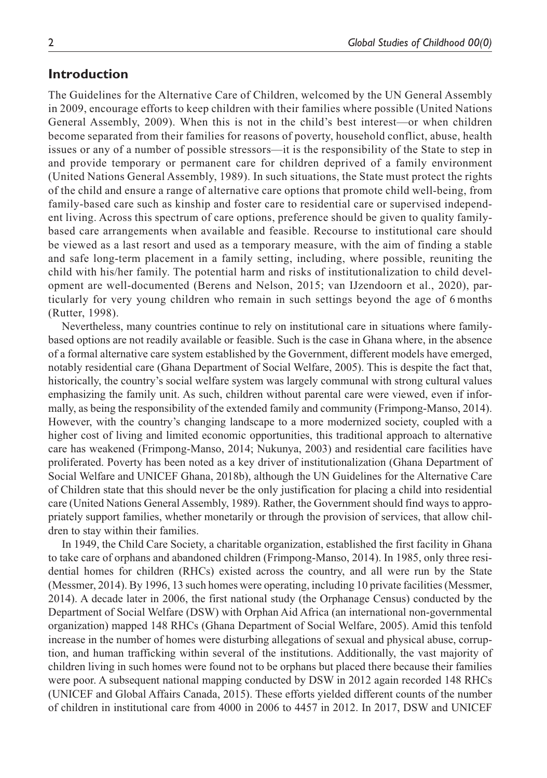## **Introduction**

The Guidelines for the Alternative Care of Children, welcomed by the UN General Assembly in 2009, encourage efforts to keep children with their families where possible (United Nations General Assembly, 2009). When this is not in the child's best interest—or when children become separated from their families for reasons of poverty, household conflict, abuse, health issues or any of a number of possible stressors—it is the responsibility of the State to step in and provide temporary or permanent care for children deprived of a family environment (United Nations General Assembly, 1989). In such situations, the State must protect the rights of the child and ensure a range of alternative care options that promote child well-being, from family-based care such as kinship and foster care to residential care or supervised independent living. Across this spectrum of care options, preference should be given to quality familybased care arrangements when available and feasible. Recourse to institutional care should be viewed as a last resort and used as a temporary measure, with the aim of finding a stable and safe long-term placement in a family setting, including, where possible, reuniting the child with his/her family. The potential harm and risks of institutionalization to child development are well-documented (Berens and Nelson, 2015; van IJzendoorn et al., 2020), particularly for very young children who remain in such settings beyond the age of 6 months (Rutter, 1998).

Nevertheless, many countries continue to rely on institutional care in situations where familybased options are not readily available or feasible. Such is the case in Ghana where, in the absence of a formal alternative care system established by the Government, different models have emerged, notably residential care (Ghana Department of Social Welfare, 2005). This is despite the fact that, historically, the country's social welfare system was largely communal with strong cultural values emphasizing the family unit. As such, children without parental care were viewed, even if informally, as being the responsibility of the extended family and community (Frimpong-Manso, 2014). However, with the country's changing landscape to a more modernized society, coupled with a higher cost of living and limited economic opportunities, this traditional approach to alternative care has weakened (Frimpong-Manso, 2014; Nukunya, 2003) and residential care facilities have proliferated. Poverty has been noted as a key driver of institutionalization (Ghana Department of Social Welfare and UNICEF Ghana, 2018b), although the UN Guidelines for the Alternative Care of Children state that this should never be the only justification for placing a child into residential care (United Nations General Assembly, 1989). Rather, the Government should find ways to appropriately support families, whether monetarily or through the provision of services, that allow children to stay within their families.

In 1949, the Child Care Society, a charitable organization, established the first facility in Ghana to take care of orphans and abandoned children (Frimpong-Manso, 2014). In 1985, only three residential homes for children (RHCs) existed across the country, and all were run by the State (Messmer, 2014). By 1996, 13 such homes were operating, including 10 private facilities (Messmer, 2014). A decade later in 2006, the first national study (the Orphanage Census) conducted by the Department of Social Welfare (DSW) with Orphan Aid Africa (an international non-governmental organization) mapped 148 RHCs (Ghana Department of Social Welfare, 2005). Amid this tenfold increase in the number of homes were disturbing allegations of sexual and physical abuse, corruption, and human trafficking within several of the institutions. Additionally, the vast majority of children living in such homes were found not to be orphans but placed there because their families were poor. A subsequent national mapping conducted by DSW in 2012 again recorded 148 RHCs (UNICEF and Global Affairs Canada, 2015). These efforts yielded different counts of the number of children in institutional care from 4000 in 2006 to 4457 in 2012. In 2017, DSW and UNICEF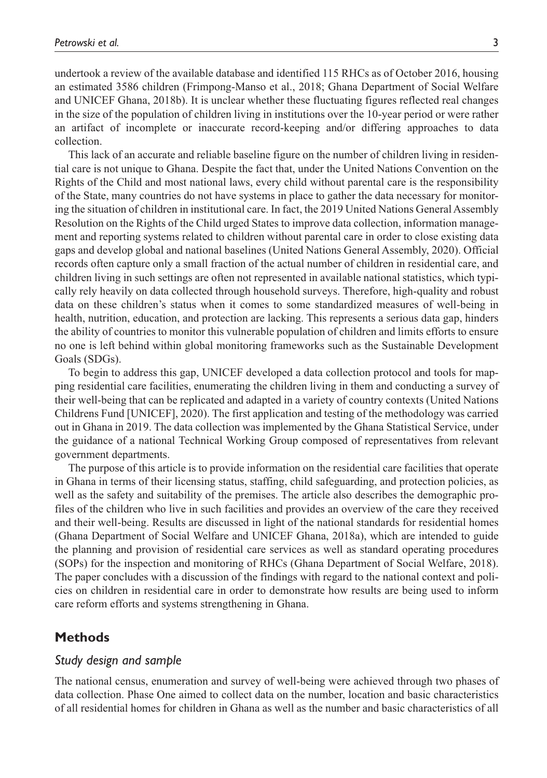undertook a review of the available database and identified 115 RHCs as of October 2016, housing an estimated 3586 children (Frimpong-Manso et al., 2018; Ghana Department of Social Welfare and UNICEF Ghana, 2018b). It is unclear whether these fluctuating figures reflected real changes in the size of the population of children living in institutions over the 10-year period or were rather an artifact of incomplete or inaccurate record-keeping and/or differing approaches to data collection.

This lack of an accurate and reliable baseline figure on the number of children living in residential care is not unique to Ghana. Despite the fact that, under the United Nations Convention on the Rights of the Child and most national laws, every child without parental care is the responsibility of the State, many countries do not have systems in place to gather the data necessary for monitoring the situation of children in institutional care. In fact, the 2019 United Nations General Assembly Resolution on the Rights of the Child urged States to improve data collection, information management and reporting systems related to children without parental care in order to close existing data gaps and develop global and national baselines (United Nations General Assembly, 2020). Official records often capture only a small fraction of the actual number of children in residential care, and children living in such settings are often not represented in available national statistics, which typically rely heavily on data collected through household surveys. Therefore, high-quality and robust data on these children's status when it comes to some standardized measures of well-being in health, nutrition, education, and protection are lacking. This represents a serious data gap, hinders the ability of countries to monitor this vulnerable population of children and limits efforts to ensure no one is left behind within global monitoring frameworks such as the Sustainable Development Goals (SDGs).

To begin to address this gap, UNICEF developed a data collection protocol and tools for mapping residential care facilities, enumerating the children living in them and conducting a survey of their well-being that can be replicated and adapted in a variety of country contexts (United Nations Childrens Fund [UNICEF], 2020). The first application and testing of the methodology was carried out in Ghana in 2019. The data collection was implemented by the Ghana Statistical Service, under the guidance of a national Technical Working Group composed of representatives from relevant government departments.

The purpose of this article is to provide information on the residential care facilities that operate in Ghana in terms of their licensing status, staffing, child safeguarding, and protection policies, as well as the safety and suitability of the premises. The article also describes the demographic profiles of the children who live in such facilities and provides an overview of the care they received and their well-being. Results are discussed in light of the national standards for residential homes (Ghana Department of Social Welfare and UNICEF Ghana, 2018a), which are intended to guide the planning and provision of residential care services as well as standard operating procedures (SOPs) for the inspection and monitoring of RHCs (Ghana Department of Social Welfare, 2018). The paper concludes with a discussion of the findings with regard to the national context and policies on children in residential care in order to demonstrate how results are being used to inform care reform efforts and systems strengthening in Ghana.

## **Methods**

## *Study design and sample*

The national census, enumeration and survey of well-being were achieved through two phases of data collection. Phase One aimed to collect data on the number, location and basic characteristics of all residential homes for children in Ghana as well as the number and basic characteristics of all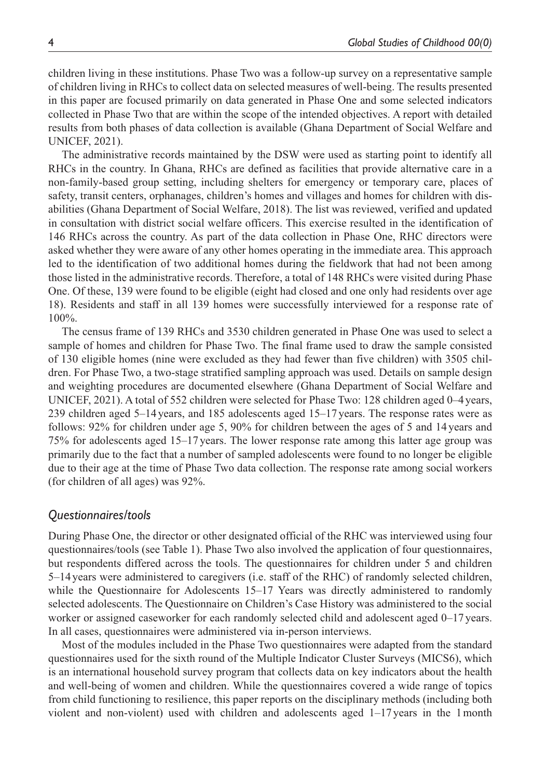children living in these institutions. Phase Two was a follow-up survey on a representative sample of children living in RHCs to collect data on selected measures of well-being. The results presented in this paper are focused primarily on data generated in Phase One and some selected indicators collected in Phase Two that are within the scope of the intended objectives. A report with detailed results from both phases of data collection is available (Ghana Department of Social Welfare and UNICEF, 2021).

The administrative records maintained by the DSW were used as starting point to identify all RHCs in the country. In Ghana, RHCs are defined as facilities that provide alternative care in a non-family-based group setting, including shelters for emergency or temporary care, places of safety, transit centers, orphanages, children's homes and villages and homes for children with disabilities (Ghana Department of Social Welfare, 2018). The list was reviewed, verified and updated in consultation with district social welfare officers. This exercise resulted in the identification of 146 RHCs across the country. As part of the data collection in Phase One, RHC directors were asked whether they were aware of any other homes operating in the immediate area. This approach led to the identification of two additional homes during the fieldwork that had not been among those listed in the administrative records. Therefore, a total of 148 RHCs were visited during Phase One. Of these, 139 were found to be eligible (eight had closed and one only had residents over age 18). Residents and staff in all 139 homes were successfully interviewed for a response rate of 100%.

The census frame of 139 RHCs and 3530 children generated in Phase One was used to select a sample of homes and children for Phase Two. The final frame used to draw the sample consisted of 130 eligible homes (nine were excluded as they had fewer than five children) with 3505 children. For Phase Two, a two-stage stratified sampling approach was used. Details on sample design and weighting procedures are documented elsewhere (Ghana Department of Social Welfare and UNICEF, 2021). A total of 552 children were selected for Phase Two: 128 children aged 0–4years, 239 children aged 5–14 years, and 185 adolescents aged 15–17 years. The response rates were as follows: 92% for children under age 5, 90% for children between the ages of 5 and 14 years and 75% for adolescents aged 15–17 years. The lower response rate among this latter age group was primarily due to the fact that a number of sampled adolescents were found to no longer be eligible due to their age at the time of Phase Two data collection. The response rate among social workers (for children of all ages) was 92%.

### *Questionnaires/tools*

During Phase One, the director or other designated official of the RHC was interviewed using four questionnaires/tools (see Table 1). Phase Two also involved the application of four questionnaires, but respondents differed across the tools. The questionnaires for children under 5 and children 5–14years were administered to caregivers (i.e. staff of the RHC) of randomly selected children, while the Questionnaire for Adolescents 15–17 Years was directly administered to randomly selected adolescents. The Questionnaire on Children's Case History was administered to the social worker or assigned caseworker for each randomly selected child and adolescent aged 0–17 years. In all cases, questionnaires were administered via in-person interviews.

Most of the modules included in the Phase Two questionnaires were adapted from the standard questionnaires used for the sixth round of the Multiple Indicator Cluster Surveys (MICS6), which is an international household survey program that collects data on key indicators about the health and well-being of women and children. While the questionnaires covered a wide range of topics from child functioning to resilience, this paper reports on the disciplinary methods (including both violent and non-violent) used with children and adolescents aged 1–17 years in the 1month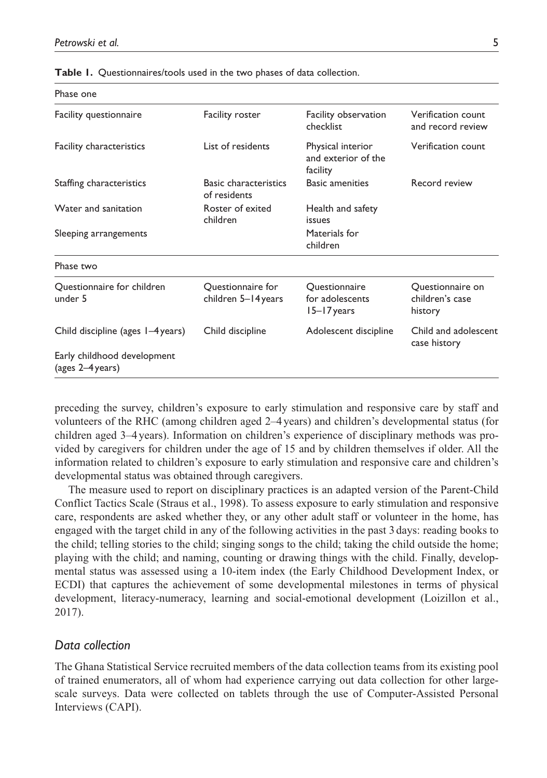| Phase one                                       |                                              |                                                      |                                                |
|-------------------------------------------------|----------------------------------------------|------------------------------------------------------|------------------------------------------------|
| Facility questionnaire                          | <b>Facility roster</b>                       | Facility observation<br>checklist                    | Verification count<br>and record review        |
| <b>Facility characteristics</b>                 | List of residents                            | Physical interior<br>and exterior of the<br>facility | Verification count                             |
| Staffing characteristics                        | <b>Basic characteristics</b><br>of residents | <b>Basic amenities</b>                               | Record review                                  |
| Water and sanitation                            | Roster of exited<br>children                 | Health and safety<br>issues                          |                                                |
| Sleeping arrangements                           |                                              | Materials for<br>children                            |                                                |
| Phase two                                       |                                              |                                                      |                                                |
| Questionnaire for children<br>under 5           | Questionnaire for<br>children 5-14 years     | Ouestionnaire<br>for adolescents<br>15–17 years      | Questionnaire on<br>children's case<br>history |
| Child discipline (ages 1–4 years)               | Child discipline                             | Adolescent discipline                                | Child and adolescent<br>case history           |
| Early childhood development<br>(ages 2-4 years) |                                              |                                                      |                                                |

**Table 1.** Questionnaires/tools used in the two phases of data collection.

preceding the survey, children's exposure to early stimulation and responsive care by staff and volunteers of the RHC (among children aged 2–4years) and children's developmental status (for children aged 3–4years). Information on children's experience of disciplinary methods was provided by caregivers for children under the age of 15 and by children themselves if older. All the information related to children's exposure to early stimulation and responsive care and children's developmental status was obtained through caregivers.

The measure used to report on disciplinary practices is an adapted version of the Parent-Child Conflict Tactics Scale (Straus et al., 1998). To assess exposure to early stimulation and responsive care, respondents are asked whether they, or any other adult staff or volunteer in the home, has engaged with the target child in any of the following activities in the past 3 days: reading books to the child; telling stories to the child; singing songs to the child; taking the child outside the home; playing with the child; and naming, counting or drawing things with the child. Finally, developmental status was assessed using a 10-item index (the Early Childhood Development Index, or ECDI) that captures the achievement of some developmental milestones in terms of physical development, literacy-numeracy, learning and social-emotional development (Loizillon et al., 2017).

## *Data collection*

The Ghana Statistical Service recruited members of the data collection teams from its existing pool of trained enumerators, all of whom had experience carrying out data collection for other largescale surveys. Data were collected on tablets through the use of Computer-Assisted Personal Interviews (CAPI).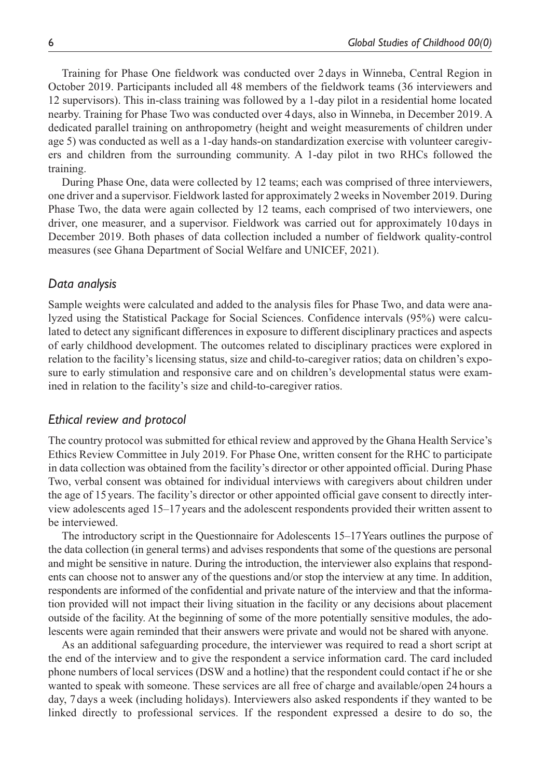Training for Phase One fieldwork was conducted over 2days in Winneba, Central Region in October 2019. Participants included all 48 members of the fieldwork teams (36 interviewers and 12 supervisors). This in-class training was followed by a 1-day pilot in a residential home located nearby. Training for Phase Two was conducted over 4 days, also in Winneba, in December 2019. A dedicated parallel training on anthropometry (height and weight measurements of children under age 5) was conducted as well as a 1-day hands-on standardization exercise with volunteer caregivers and children from the surrounding community. A 1-day pilot in two RHCs followed the training.

During Phase One, data were collected by 12 teams; each was comprised of three interviewers, one driver and a supervisor. Fieldwork lasted for approximately 2weeks in November 2019. During Phase Two, the data were again collected by 12 teams, each comprised of two interviewers, one driver, one measurer, and a supervisor. Fieldwork was carried out for approximately 10 days in December 2019. Both phases of data collection included a number of fieldwork quality-control measures (see Ghana Department of Social Welfare and UNICEF, 2021).

### *Data analysis*

Sample weights were calculated and added to the analysis files for Phase Two, and data were analyzed using the Statistical Package for Social Sciences. Confidence intervals (95%) were calculated to detect any significant differences in exposure to different disciplinary practices and aspects of early childhood development. The outcomes related to disciplinary practices were explored in relation to the facility's licensing status, size and child-to-caregiver ratios; data on children's exposure to early stimulation and responsive care and on children's developmental status were examined in relation to the facility's size and child-to-caregiver ratios.

### *Ethical review and protocol*

The country protocol was submitted for ethical review and approved by the Ghana Health Service's Ethics Review Committee in July 2019. For Phase One, written consent for the RHC to participate in data collection was obtained from the facility's director or other appointed official. During Phase Two, verbal consent was obtained for individual interviews with caregivers about children under the age of 15years. The facility's director or other appointed official gave consent to directly interview adolescents aged 15–17 years and the adolescent respondents provided their written assent to be interviewed.

The introductory script in the Questionnaire for Adolescents 15–17Years outlines the purpose of the data collection (in general terms) and advises respondents that some of the questions are personal and might be sensitive in nature. During the introduction, the interviewer also explains that respondents can choose not to answer any of the questions and/or stop the interview at any time. In addition, respondents are informed of the confidential and private nature of the interview and that the information provided will not impact their living situation in the facility or any decisions about placement outside of the facility. At the beginning of some of the more potentially sensitive modules, the adolescents were again reminded that their answers were private and would not be shared with anyone.

As an additional safeguarding procedure, the interviewer was required to read a short script at the end of the interview and to give the respondent a service information card. The card included phone numbers of local services (DSW and a hotline) that the respondent could contact if he or she wanted to speak with someone. These services are all free of charge and available/open 24 hours a day, 7days a week (including holidays). Interviewers also asked respondents if they wanted to be linked directly to professional services. If the respondent expressed a desire to do so, the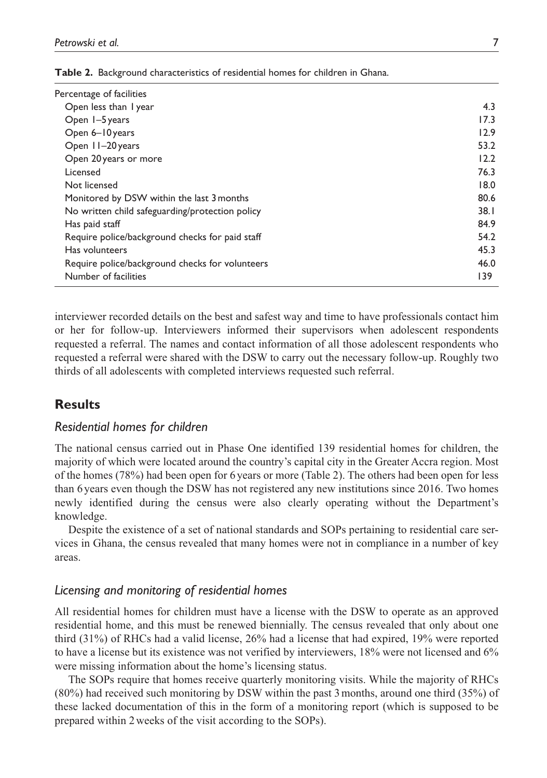| Percentage of facilities                        |      |
|-------------------------------------------------|------|
| Open less than I year                           | 4.3  |
| Open 1-5 years                                  | 17.3 |
| Open 6-10 years                                 | 12.9 |
| Open 11-20 years                                | 53.2 |
| Open 20 years or more                           | 12.2 |
| Licensed                                        | 76.3 |
| Not licensed                                    | 18.0 |
| Monitored by DSW within the last 3 months       | 80.6 |
| No written child safeguarding/protection policy | 38.1 |
| Has paid staff                                  | 84.9 |
| Require police/background checks for paid staff | 54.2 |
| Has volunteers                                  | 45.3 |
| Require police/background checks for volunteers | 46.0 |
| Number of facilities                            | 139  |
|                                                 |      |

**Table 2.** Background characteristics of residential homes for children in Ghana.

interviewer recorded details on the best and safest way and time to have professionals contact him or her for follow-up. Interviewers informed their supervisors when adolescent respondents requested a referral. The names and contact information of all those adolescent respondents who requested a referral were shared with the DSW to carry out the necessary follow-up. Roughly two thirds of all adolescents with completed interviews requested such referral.

# **Results**

## *Residential homes for children*

The national census carried out in Phase One identified 139 residential homes for children, the majority of which were located around the country's capital city in the Greater Accra region. Most of the homes (78%) had been open for 6 years or more (Table 2). The others had been open for less than 6years even though the DSW has not registered any new institutions since 2016. Two homes newly identified during the census were also clearly operating without the Department's knowledge.

Despite the existence of a set of national standards and SOPs pertaining to residential care services in Ghana, the census revealed that many homes were not in compliance in a number of key areas.

## *Licensing and monitoring of residential homes*

All residential homes for children must have a license with the DSW to operate as an approved residential home, and this must be renewed biennially. The census revealed that only about one third (31%) of RHCs had a valid license, 26% had a license that had expired, 19% were reported to have a license but its existence was not verified by interviewers, 18% were not licensed and 6% were missing information about the home's licensing status.

The SOPs require that homes receive quarterly monitoring visits. While the majority of RHCs (80%) had received such monitoring by DSW within the past 3months, around one third (35%) of these lacked documentation of this in the form of a monitoring report (which is supposed to be prepared within 2weeks of the visit according to the SOPs).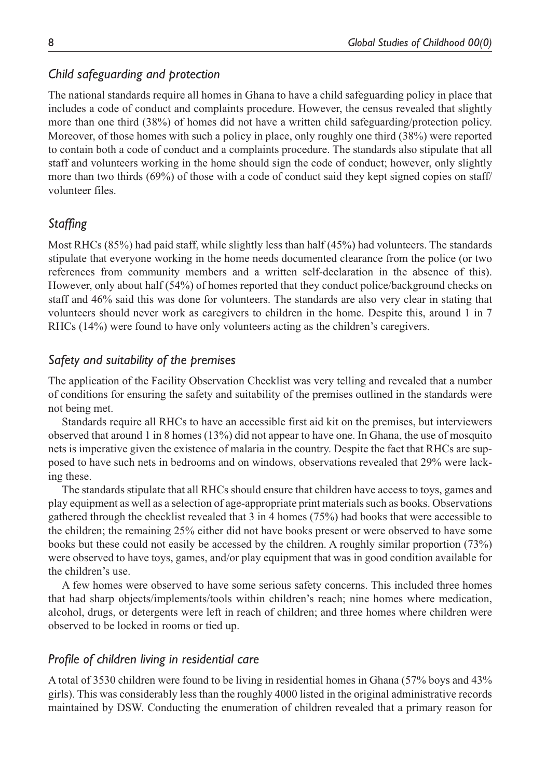# *Child safeguarding and protection*

The national standards require all homes in Ghana to have a child safeguarding policy in place that includes a code of conduct and complaints procedure. However, the census revealed that slightly more than one third (38%) of homes did not have a written child safeguarding/protection policy. Moreover, of those homes with such a policy in place, only roughly one third (38%) were reported to contain both a code of conduct and a complaints procedure. The standards also stipulate that all staff and volunteers working in the home should sign the code of conduct; however, only slightly more than two thirds (69%) of those with a code of conduct said they kept signed copies on staff/ volunteer files.

# *Staffing*

Most RHCs (85%) had paid staff, while slightly less than half (45%) had volunteers. The standards stipulate that everyone working in the home needs documented clearance from the police (or two references from community members and a written self-declaration in the absence of this). However, only about half (54%) of homes reported that they conduct police/background checks on staff and 46% said this was done for volunteers. The standards are also very clear in stating that volunteers should never work as caregivers to children in the home. Despite this, around 1 in 7 RHCs (14%) were found to have only volunteers acting as the children's caregivers.

# *Safety and suitability of the premises*

The application of the Facility Observation Checklist was very telling and revealed that a number of conditions for ensuring the safety and suitability of the premises outlined in the standards were not being met.

Standards require all RHCs to have an accessible first aid kit on the premises, but interviewers observed that around 1 in 8 homes (13%) did not appear to have one. In Ghana, the use of mosquito nets is imperative given the existence of malaria in the country. Despite the fact that RHCs are supposed to have such nets in bedrooms and on windows, observations revealed that 29% were lacking these.

The standards stipulate that all RHCs should ensure that children have access to toys, games and play equipment as well as a selection of age-appropriate print materials such as books. Observations gathered through the checklist revealed that 3 in 4 homes (75%) had books that were accessible to the children; the remaining 25% either did not have books present or were observed to have some books but these could not easily be accessed by the children. A roughly similar proportion (73%) were observed to have toys, games, and/or play equipment that was in good condition available for the children's use.

A few homes were observed to have some serious safety concerns. This included three homes that had sharp objects/implements/tools within children's reach; nine homes where medication, alcohol, drugs, or detergents were left in reach of children; and three homes where children were observed to be locked in rooms or tied up.

## *Profile of children living in residential care*

A total of 3530 children were found to be living in residential homes in Ghana (57% boys and 43% girls). This was considerably less than the roughly 4000 listed in the original administrative records maintained by DSW. Conducting the enumeration of children revealed that a primary reason for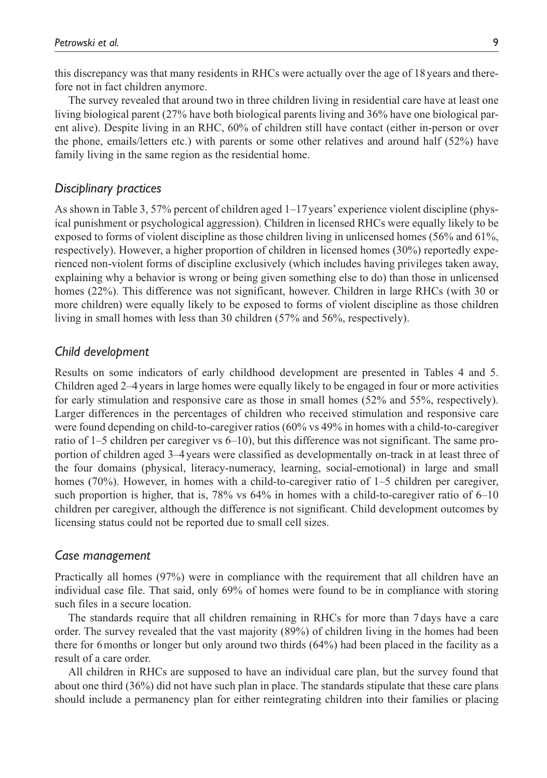this discrepancy was that many residents in RHCs were actually over the age of 18years and therefore not in fact children anymore.

The survey revealed that around two in three children living in residential care have at least one living biological parent (27% have both biological parents living and 36% have one biological parent alive). Despite living in an RHC, 60% of children still have contact (either in-person or over the phone, emails/letters etc.) with parents or some other relatives and around half (52%) have family living in the same region as the residential home.

### *Disciplinary practices*

As shown in Table 3, 57% percent of children aged 1–17 years' experience violent discipline (physical punishment or psychological aggression). Children in licensed RHCs were equally likely to be exposed to forms of violent discipline as those children living in unlicensed homes (56% and 61%, respectively). However, a higher proportion of children in licensed homes (30%) reportedly experienced non-violent forms of discipline exclusively (which includes having privileges taken away, explaining why a behavior is wrong or being given something else to do) than those in unlicensed homes (22%). This difference was not significant, however. Children in large RHCs (with 30 or more children) were equally likely to be exposed to forms of violent discipline as those children living in small homes with less than 30 children (57% and 56%, respectively).

### *Child development*

Results on some indicators of early childhood development are presented in Tables 4 and 5. Children aged 2–4 years in large homes were equally likely to be engaged in four or more activities for early stimulation and responsive care as those in small homes (52% and 55%, respectively). Larger differences in the percentages of children who received stimulation and responsive care were found depending on child-to-caregiver ratios (60% vs 49% in homes with a child-to-caregiver ratio of 1–5 children per caregiver vs 6–10), but this difference was not significant. The same proportion of children aged 3–4 years were classified as developmentally on-track in at least three of the four domains (physical, literacy-numeracy, learning, social-emotional) in large and small homes (70%). However, in homes with a child-to-caregiver ratio of 1–5 children per caregiver, such proportion is higher, that is, 78% vs 64% in homes with a child-to-caregiver ratio of 6–10 children per caregiver, although the difference is not significant. Child development outcomes by licensing status could not be reported due to small cell sizes.

#### *Case management*

Practically all homes (97%) were in compliance with the requirement that all children have an individual case file. That said, only 69% of homes were found to be in compliance with storing such files in a secure location.

The standards require that all children remaining in RHCs for more than 7 days have a care order. The survey revealed that the vast majority (89%) of children living in the homes had been there for 6months or longer but only around two thirds (64%) had been placed in the facility as a result of a care order.

All children in RHCs are supposed to have an individual care plan, but the survey found that about one third (36%) did not have such plan in place. The standards stipulate that these care plans should include a permanency plan for either reintegrating children into their families or placing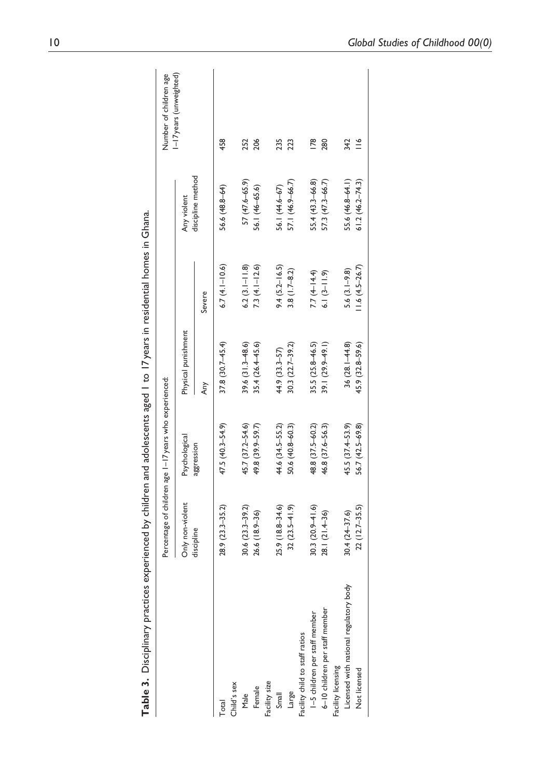| ī<br>í                             |
|------------------------------------|
|                                    |
|                                    |
| l<br>.                             |
|                                    |
| Ì                                  |
| -<br>-<br>ייי –<br>, 2             |
| l<br>j                             |
| .<br>1<br>֧֚֚֝<br>j<br>l           |
| i                                  |
|                                    |
| $\overline{\phantom{a}}$<br>ı<br>ĺ |
| ble 3.                             |

| 458<br>$\overline{18}$<br>342<br>252<br>206<br>235<br>280<br>223<br>discipline method<br>57 (47.6-65.9)<br>57.1 (46.9-66.7)<br>55.4 (43.3-66.8)<br>57.3 (47.3-66.7)<br>55.6 (46.8-64.1)<br>$61.2(46.2 - 74.3)$<br>56.1 (44.6-67)<br>56.1 (46-65.6)<br>56.6 (48.8-64)<br>Any violent<br>$6.7(4.1-10.6)$<br>$6.2$ $(3.1 - 11.8)$<br>$9.4 (5.2 - 16.5)$<br>$7.3(4.1 - 12.6)$<br>$11.6(4.5-26.7)$<br>$3.8(1.7 - 8.2)$<br>$5.6(3.1 - 9.8)$<br>7.7 $(4 - 14.4)$<br>$6.1(3-11.9)$<br>Severe<br>Physical punishment<br>$37.8(30.7 - 45.4)$<br>$39.6(31.3 - 48.6)$<br>35.4 (26.4-45.6)<br>$30.3(22.7 - 39.2)$<br>$35.5(25.8 - 46.5)$<br>39.1 (29.9-49.1)<br>$36(28.1 - 44.8)$<br>$45.9(32.8 - 59.6)$<br>44.9 (33.3–57)<br>Any<br>47.5 (40.3-54.9)<br>45.7 (37.2-54.6)<br>49.8 (39.9-59.7)<br>44.6 (34.5-55.2)<br>50.6 (40.8-60.3)<br>48.8 (37.5-60.2)<br>46.8 (37.6-56.3)<br>$45.5(37.4 - 53.9)$<br>56.7 (42.5-69.8)<br>Psychological<br>aggression<br>Only non-violent<br>$28.9(23.3 - 35.2)$<br>$30.6(23.3 - 39.2)$<br>$25.9(18.8 - 34.6)$<br>$32(23.5 - 41.9)$<br>$30.3(20.9 - 1.6)$<br>$22(12.7-35.5)$<br>$26.6(18.9 - 36)$<br>28.1 (21.4-36)<br>$30.4(24-37.6)$<br>discipline<br>Licensed with national regulatory body<br>6-10 children per staff member<br>I-5 children per staff member<br>Facility child to staff ratios<br>Facility licensing<br>Not licensed<br>Facility size<br>Child's sex<br>Female<br>Large<br>Small<br>Male<br>Total |  | Percentage of children age 1–17 years who experienced: |  | Number of children age |
|---------------------------------------------------------------------------------------------------------------------------------------------------------------------------------------------------------------------------------------------------------------------------------------------------------------------------------------------------------------------------------------------------------------------------------------------------------------------------------------------------------------------------------------------------------------------------------------------------------------------------------------------------------------------------------------------------------------------------------------------------------------------------------------------------------------------------------------------------------------------------------------------------------------------------------------------------------------------------------------------------------------------------------------------------------------------------------------------------------------------------------------------------------------------------------------------------------------------------------------------------------------------------------------------------------------------------------------------------------------------------------------------------------------------------------------------|--|--------------------------------------------------------|--|------------------------|
|                                                                                                                                                                                                                                                                                                                                                                                                                                                                                                                                                                                                                                                                                                                                                                                                                                                                                                                                                                                                                                                                                                                                                                                                                                                                                                                                                                                                                                             |  |                                                        |  | I-I7years (unweighted) |
|                                                                                                                                                                                                                                                                                                                                                                                                                                                                                                                                                                                                                                                                                                                                                                                                                                                                                                                                                                                                                                                                                                                                                                                                                                                                                                                                                                                                                                             |  |                                                        |  |                        |
|                                                                                                                                                                                                                                                                                                                                                                                                                                                                                                                                                                                                                                                                                                                                                                                                                                                                                                                                                                                                                                                                                                                                                                                                                                                                                                                                                                                                                                             |  |                                                        |  |                        |
|                                                                                                                                                                                                                                                                                                                                                                                                                                                                                                                                                                                                                                                                                                                                                                                                                                                                                                                                                                                                                                                                                                                                                                                                                                                                                                                                                                                                                                             |  |                                                        |  |                        |
|                                                                                                                                                                                                                                                                                                                                                                                                                                                                                                                                                                                                                                                                                                                                                                                                                                                                                                                                                                                                                                                                                                                                                                                                                                                                                                                                                                                                                                             |  |                                                        |  |                        |
|                                                                                                                                                                                                                                                                                                                                                                                                                                                                                                                                                                                                                                                                                                                                                                                                                                                                                                                                                                                                                                                                                                                                                                                                                                                                                                                                                                                                                                             |  |                                                        |  |                        |
|                                                                                                                                                                                                                                                                                                                                                                                                                                                                                                                                                                                                                                                                                                                                                                                                                                                                                                                                                                                                                                                                                                                                                                                                                                                                                                                                                                                                                                             |  |                                                        |  |                        |
|                                                                                                                                                                                                                                                                                                                                                                                                                                                                                                                                                                                                                                                                                                                                                                                                                                                                                                                                                                                                                                                                                                                                                                                                                                                                                                                                                                                                                                             |  |                                                        |  |                        |
|                                                                                                                                                                                                                                                                                                                                                                                                                                                                                                                                                                                                                                                                                                                                                                                                                                                                                                                                                                                                                                                                                                                                                                                                                                                                                                                                                                                                                                             |  |                                                        |  |                        |
|                                                                                                                                                                                                                                                                                                                                                                                                                                                                                                                                                                                                                                                                                                                                                                                                                                                                                                                                                                                                                                                                                                                                                                                                                                                                                                                                                                                                                                             |  |                                                        |  |                        |
|                                                                                                                                                                                                                                                                                                                                                                                                                                                                                                                                                                                                                                                                                                                                                                                                                                                                                                                                                                                                                                                                                                                                                                                                                                                                                                                                                                                                                                             |  |                                                        |  |                        |
|                                                                                                                                                                                                                                                                                                                                                                                                                                                                                                                                                                                                                                                                                                                                                                                                                                                                                                                                                                                                                                                                                                                                                                                                                                                                                                                                                                                                                                             |  |                                                        |  |                        |
|                                                                                                                                                                                                                                                                                                                                                                                                                                                                                                                                                                                                                                                                                                                                                                                                                                                                                                                                                                                                                                                                                                                                                                                                                                                                                                                                                                                                                                             |  |                                                        |  |                        |
|                                                                                                                                                                                                                                                                                                                                                                                                                                                                                                                                                                                                                                                                                                                                                                                                                                                                                                                                                                                                                                                                                                                                                                                                                                                                                                                                                                                                                                             |  |                                                        |  |                        |
|                                                                                                                                                                                                                                                                                                                                                                                                                                                                                                                                                                                                                                                                                                                                                                                                                                                                                                                                                                                                                                                                                                                                                                                                                                                                                                                                                                                                                                             |  |                                                        |  |                        |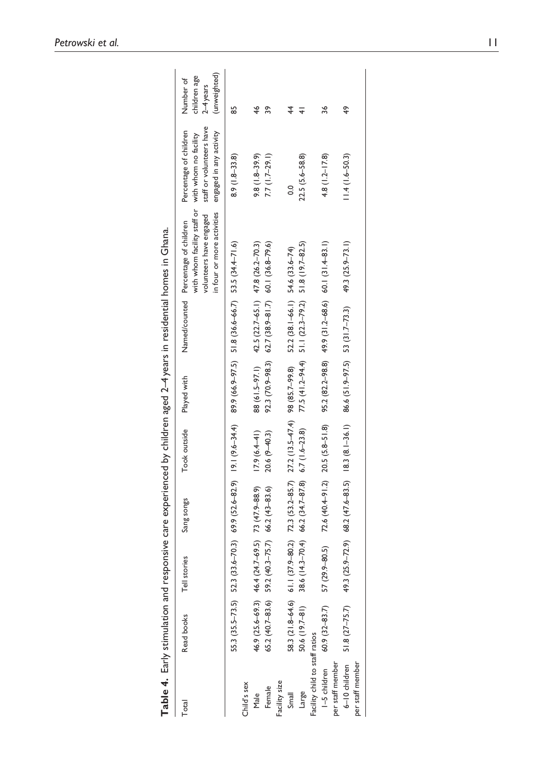|                                | Table 4. Early stimulation and responsive care experienced by children aged 2–4 years in residential homes in Ghana. |                                                  |                                    |                                                                                                             |                                 |                                                       |                                                                                                                                                    |                                                                               |                                                          |
|--------------------------------|----------------------------------------------------------------------------------------------------------------------|--------------------------------------------------|------------------------------------|-------------------------------------------------------------------------------------------------------------|---------------------------------|-------------------------------------------------------|----------------------------------------------------------------------------------------------------------------------------------------------------|-------------------------------------------------------------------------------|----------------------------------------------------------|
| Total                          | Read books                                                                                                           | Tell stories                                     | Sang songs                         | Took outside                                                                                                | Played with                     |                                                       | with whom facility staff or with whom no facility<br>in four or more activities<br>volunteers have engaged<br>Named/counted Percentage of children | staff or volunteers have<br>Percentage of children<br>engaged in any activity | (unweighted)<br>children age<br>Number of<br>$2-4$ years |
|                                | 55.3 (35.5–73.5) 52.3                                                                                                |                                                  |                                    | $(31.6-70.3)$ 69.9 $(52.6-82.9)$ 19.1 $(9.6-34.4)$ 89.9 $(66.9-97.5)$ 51.8 $(36.6-66.7)$ 53.5 $(34.4-71.6)$ |                                 |                                                       |                                                                                                                                                    | $8.9(1.8-33.8)$                                                               | 85                                                       |
| Child's sex                    |                                                                                                                      |                                                  |                                    |                                                                                                             |                                 |                                                       |                                                                                                                                                    |                                                                               |                                                          |
| Male                           |                                                                                                                      | 46.9 (25.6–69.3) 46.4 (24.7–69.5) 73 (47.9–88.9) |                                    | $17.9(6.4-41)$                                                                                              |                                 | 88 (61.5-97.1) 42.5 (22.7-65.1) 47.8 (26.2-70.3)      |                                                                                                                                                    | $9.8(1.8 - 39.9)$                                                             | 46                                                       |
| Female                         | 65.2 (40.7-83.6) 59.2                                                                                                |                                                  | $(40.3 - 75.7)$ 66.2 $(43 - 83.6)$ | $20.6(9-40.3)$                                                                                              |                                 | 92.3 (70.9-98.3) 62.7 (38.9-81.7) 60.1 (36.8-79.6)    |                                                                                                                                                    | $7.7(1.7-29.1)$                                                               | వి                                                       |
| Facility size                  |                                                                                                                      |                                                  |                                    |                                                                                                             |                                 |                                                       |                                                                                                                                                    |                                                                               |                                                          |
| Small                          | 58.3 (21.8-64.6) 61.1                                                                                                |                                                  |                                    | $(37.9-80.2)$ $72.3$ $(53.2-85.7)$ $27.2$ $(13.5-47.4)$ 98 $(85.7-99.8)$                                    |                                 | 52.2 (38.1-66.1) 54.6 (33.6-74)                       |                                                                                                                                                    | O.O                                                                           | 4                                                        |
| Large                          | 50.6 (19.7-81)                                                                                                       | $(14.3 - 70.4)$<br>38.6                          | $66.2(34.7-87.8)$ $6.7(1.6-23.8)$  |                                                                                                             | $77.5(41.2 - 94.4)$             | $51.1(22.3 - 79.2)$                                   | 51.8 (19.7-82.5)                                                                                                                                   | 22.5 (5.6-58.8)                                                               |                                                          |
| Facility child to staff ratios |                                                                                                                      |                                                  |                                    |                                                                                                             |                                 |                                                       |                                                                                                                                                    |                                                                               |                                                          |
| I-5 children                   | $60.9(32-83.7)$                                                                                                      | 57 (29.9-80.5)                                   |                                    | $72.6$ $(40.4 - 91.2)$ $20.5$ $(5.8 - 51.8)$                                                                |                                 | $95.2(82.2-98.8)$ $49.9(31.2-68.6)$ $60.1(31.4-83.1)$ |                                                                                                                                                    | $4.8(1.2 - 17.8)$                                                             | 36                                                       |
| per staff member               |                                                                                                                      |                                                  |                                    |                                                                                                             |                                 |                                                       |                                                                                                                                                    |                                                                               |                                                          |
| 6-10 children                  | $51.8$ $(27 - 75.7)$                                                                                                 | $(25.9 - 72.9)$<br>49.3                          |                                    | $68.2(47.6-83.5)$ 18.3 $(8.1-36.1)$                                                                         | 86.6 (51.9-97.5) 53 (31.7-73.3) |                                                       | 49.3 (25.9-73.1)                                                                                                                                   | $11.4(1.6 - 50.3)$                                                            | 49                                                       |
| per staff member               |                                                                                                                      |                                                  |                                    |                                                                                                             |                                 |                                                       |                                                                                                                                                    |                                                                               |                                                          |
|                                |                                                                                                                      |                                                  |                                    |                                                                                                             |                                 |                                                       |                                                                                                                                                    |                                                                               |                                                          |

Petrowski et al. 11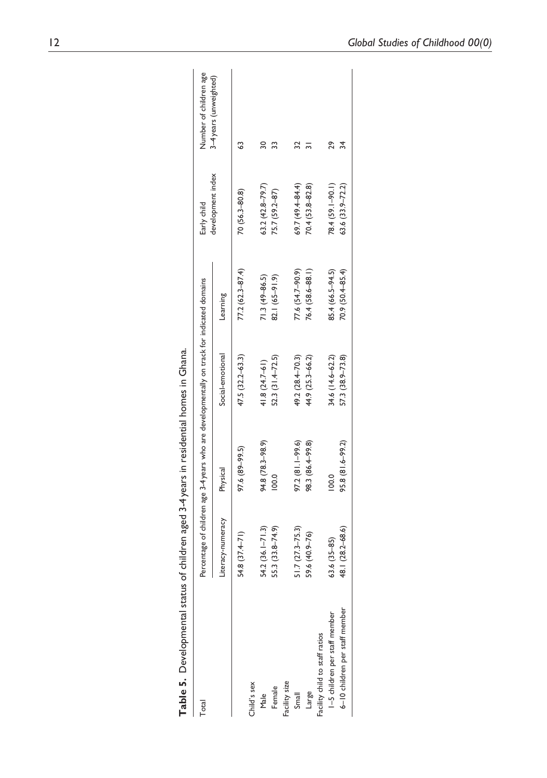| Table 5. Developmental status  |                     | of children aged 3-4 years in residential homes in Ghana. |                                                                                             |                     |                     |                        |
|--------------------------------|---------------------|-----------------------------------------------------------|---------------------------------------------------------------------------------------------|---------------------|---------------------|------------------------|
| <b>Total</b>                   |                     |                                                           | Percentage of children age 3-4 years who are developmentally on track for indicated domains |                     | Early child         | Number of children age |
|                                | Literacy-numeracy   | Physical                                                  | Social-emotional                                                                            | Learning            | development index   | 3-4 years (unweighted) |
|                                | 54.8 (37.4-71)      | 97.6 (89-99.5)                                            | 47.5 (32.2-63.3)                                                                            | $77.2(62.3 - 87.4)$ | $70(56.3 - 80.8)$   |                        |
| Child's sex                    |                     |                                                           |                                                                                             |                     |                     |                        |
| Male                           | $54.2(36.1 - 71.3)$ | 94.8 (78.3-98.9)                                          | $41.8(24.7-61)$                                                                             | $71.3(49 - 86.5)$   | $63.2(42.8 - 79.7)$ |                        |
| Female                         | 55.3 (33.8-74.9)    | 100.0                                                     | 52.3 (31.4-72.5)                                                                            | 82.1 (65-91.9)      | 75.7 (59.2-87)      |                        |
| Facility size                  |                     |                                                           |                                                                                             |                     |                     |                        |
| Small                          | $51.7(27.3 - 75.3)$ | $97.2 (81.1 - 99.6)$                                      | 49.2 (28.4–70.3)                                                                            | $77.6(54.7-90.9)$   | $69.7(49.4 - 84.4)$ |                        |
| Large                          | 59.6 (40.9-76)      | 98.3 (86.4-99.8)                                          | 44.9 (25.3-66.2)                                                                            | 76.4 (58.6-88.1)    | 70.4 (53.8-82.8)    |                        |
| acility child to staff ratios  |                     |                                                           |                                                                                             |                     |                     |                        |
| 1-5 children per staff member  | $63.6(35 - 85)$     | 100.0                                                     | 34.6 (14.6-62.2)                                                                            | 85.4 (66.5-94.5)    | 78.4 (59.1-90.1)    | 29                     |
| 6-10 children per staff member | 48.1 (28.2–68.6)    | 95.8 (81.6-99.2)                                          | 57.3 (38.9-73.8)                                                                            | 70.9 (50.4-85.4)    | 63.6 (33.9-72.2)    |                        |

| 5<br>Ī                       |
|------------------------------|
|                              |
| 5                            |
| י ווחרת הוא הוא              |
|                              |
|                              |
|                              |
|                              |
| リココー<br>こくしゃ りょう<br>١        |
| (^n in) in in in) in in      |
|                              |
|                              |
| windown and the chains chain |
| <b>ile 3.</b> Developme<br>í |
|                              |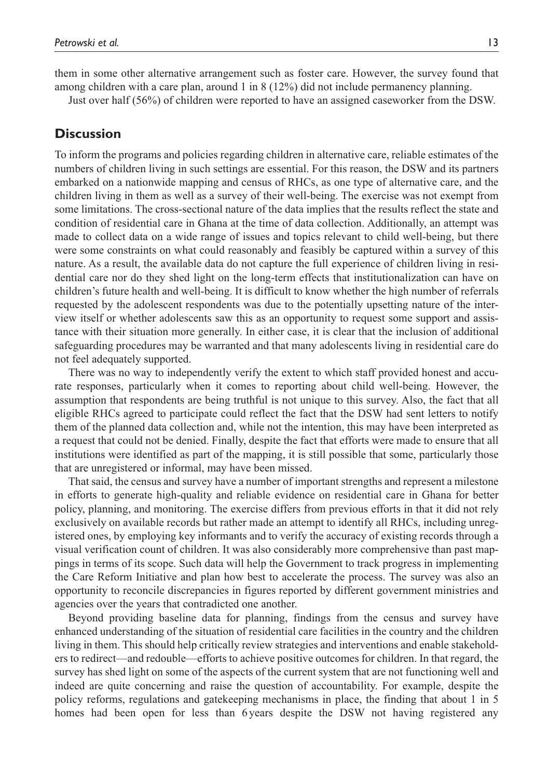them in some other alternative arrangement such as foster care. However, the survey found that among children with a care plan, around 1 in 8 (12%) did not include permanency planning.

Just over half (56%) of children were reported to have an assigned caseworker from the DSW.

### **Discussion**

To inform the programs and policies regarding children in alternative care, reliable estimates of the numbers of children living in such settings are essential. For this reason, the DSW and its partners embarked on a nationwide mapping and census of RHCs, as one type of alternative care, and the children living in them as well as a survey of their well-being. The exercise was not exempt from some limitations. The cross-sectional nature of the data implies that the results reflect the state and condition of residential care in Ghana at the time of data collection. Additionally, an attempt was made to collect data on a wide range of issues and topics relevant to child well-being, but there were some constraints on what could reasonably and feasibly be captured within a survey of this nature. As a result, the available data do not capture the full experience of children living in residential care nor do they shed light on the long-term effects that institutionalization can have on children's future health and well-being. It is difficult to know whether the high number of referrals requested by the adolescent respondents was due to the potentially upsetting nature of the interview itself or whether adolescents saw this as an opportunity to request some support and assistance with their situation more generally. In either case, it is clear that the inclusion of additional safeguarding procedures may be warranted and that many adolescents living in residential care do not feel adequately supported.

There was no way to independently verify the extent to which staff provided honest and accurate responses, particularly when it comes to reporting about child well-being. However, the assumption that respondents are being truthful is not unique to this survey. Also, the fact that all eligible RHCs agreed to participate could reflect the fact that the DSW had sent letters to notify them of the planned data collection and, while not the intention, this may have been interpreted as a request that could not be denied. Finally, despite the fact that efforts were made to ensure that all institutions were identified as part of the mapping, it is still possible that some, particularly those that are unregistered or informal, may have been missed.

That said, the census and survey have a number of important strengths and represent a milestone in efforts to generate high-quality and reliable evidence on residential care in Ghana for better policy, planning, and monitoring. The exercise differs from previous efforts in that it did not rely exclusively on available records but rather made an attempt to identify all RHCs, including unregistered ones, by employing key informants and to verify the accuracy of existing records through a visual verification count of children. It was also considerably more comprehensive than past mappings in terms of its scope. Such data will help the Government to track progress in implementing the Care Reform Initiative and plan how best to accelerate the process. The survey was also an opportunity to reconcile discrepancies in figures reported by different government ministries and agencies over the years that contradicted one another.

Beyond providing baseline data for planning, findings from the census and survey have enhanced understanding of the situation of residential care facilities in the country and the children living in them. This should help critically review strategies and interventions and enable stakeholders to redirect—and redouble—efforts to achieve positive outcomes for children. In that regard, the survey has shed light on some of the aspects of the current system that are not functioning well and indeed are quite concerning and raise the question of accountability. For example, despite the policy reforms, regulations and gatekeeping mechanisms in place, the finding that about 1 in 5 homes had been open for less than 6 years despite the DSW not having registered any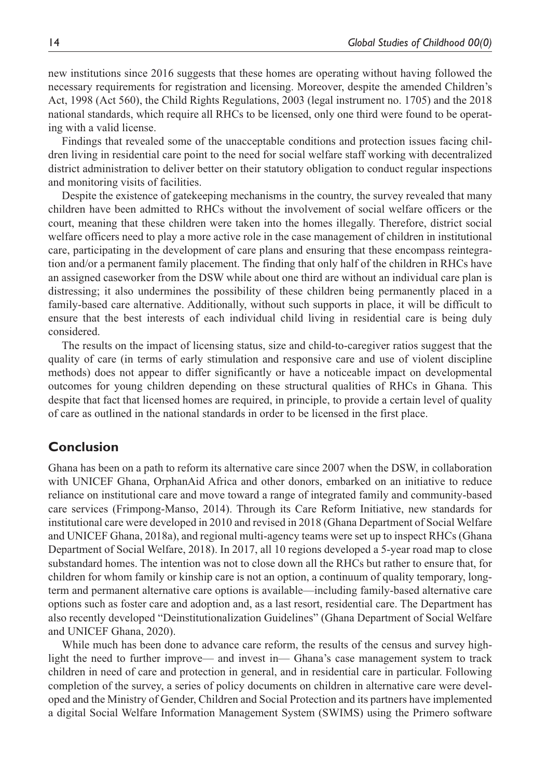new institutions since 2016 suggests that these homes are operating without having followed the necessary requirements for registration and licensing. Moreover, despite the amended Children's Act, 1998 (Act 560), the Child Rights Regulations, 2003 (legal instrument no. 1705) and the 2018 national standards, which require all RHCs to be licensed, only one third were found to be operating with a valid license.

Findings that revealed some of the unacceptable conditions and protection issues facing children living in residential care point to the need for social welfare staff working with decentralized district administration to deliver better on their statutory obligation to conduct regular inspections and monitoring visits of facilities.

Despite the existence of gatekeeping mechanisms in the country, the survey revealed that many children have been admitted to RHCs without the involvement of social welfare officers or the court, meaning that these children were taken into the homes illegally. Therefore, district social welfare officers need to play a more active role in the case management of children in institutional care, participating in the development of care plans and ensuring that these encompass reintegration and/or a permanent family placement. The finding that only half of the children in RHCs have an assigned caseworker from the DSW while about one third are without an individual care plan is distressing; it also undermines the possibility of these children being permanently placed in a family-based care alternative. Additionally, without such supports in place, it will be difficult to ensure that the best interests of each individual child living in residential care is being duly considered.

The results on the impact of licensing status, size and child-to-caregiver ratios suggest that the quality of care (in terms of early stimulation and responsive care and use of violent discipline methods) does not appear to differ significantly or have a noticeable impact on developmental outcomes for young children depending on these structural qualities of RHCs in Ghana. This despite that fact that licensed homes are required, in principle, to provide a certain level of quality of care as outlined in the national standards in order to be licensed in the first place.

## **Conclusion**

Ghana has been on a path to reform its alternative care since 2007 when the DSW, in collaboration with UNICEF Ghana, OrphanAid Africa and other donors, embarked on an initiative to reduce reliance on institutional care and move toward a range of integrated family and community-based care services (Frimpong-Manso, 2014). Through its Care Reform Initiative, new standards for institutional care were developed in 2010 and revised in 2018 (Ghana Department of Social Welfare and UNICEF Ghana, 2018a), and regional multi-agency teams were set up to inspect RHCs (Ghana Department of Social Welfare, 2018). In 2017, all 10 regions developed a 5-year road map to close substandard homes. The intention was not to close down all the RHCs but rather to ensure that, for children for whom family or kinship care is not an option, a continuum of quality temporary, longterm and permanent alternative care options is available—including family-based alternative care options such as foster care and adoption and, as a last resort, residential care. The Department has also recently developed "Deinstitutionalization Guidelines" (Ghana Department of Social Welfare and UNICEF Ghana, 2020).

While much has been done to advance care reform, the results of the census and survey highlight the need to further improve— and invest in— Ghana's case management system to track children in need of care and protection in general, and in residential care in particular. Following completion of the survey, a series of policy documents on children in alternative care were developed and the Ministry of Gender, Children and Social Protection and its partners have implemented a digital Social Welfare Information Management System (SWIMS) using the Primero software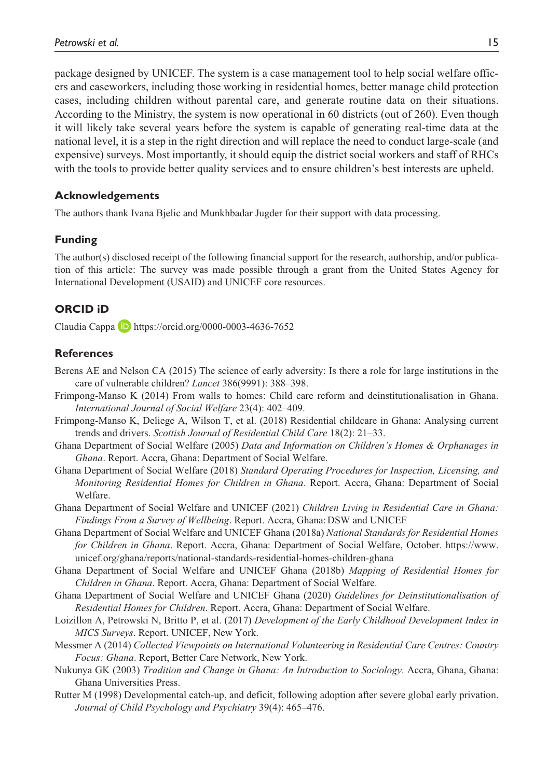package designed by UNICEF. The system is a case management tool to help social welfare officers and caseworkers, including those working in residential homes, better manage child protection cases, including children without parental care, and generate routine data on their situations. According to the Ministry, the system is now operational in 60 districts (out of 260). Even though it will likely take several years before the system is capable of generating real-time data at the national level, it is a step in the right direction and will replace the need to conduct large-scale (and expensive) surveys. Most importantly, it should equip the district social workers and staff of RHCs with the tools to provide better quality services and to ensure children's best interests are upheld.

### **Acknowledgements**

The authors thank Ivana Bjelic and Munkhbadar Jugder for their support with data processing.

### **Funding**

The author(s) disclosed receipt of the following financial support for the research, authorship, and/or publication of this article: The survey was made possible through a grant from the United States Agency for International Development (USAID) and UNICEF core resources.

### **ORCID iD**

Claudia Cappa https://orcid.org/0000-0003-4636-7652

### **References**

- Berens AE and Nelson CA (2015) The science of early adversity: Is there a role for large institutions in the care of vulnerable children? *Lancet* 386(9991): 388–398.
- Frimpong-Manso K (2014) From walls to homes: Child care reform and deinstitutionalisation in Ghana. *International Journal of Social Welfare* 23(4): 402–409.
- Frimpong-Manso K, Deliege A, Wilson T, et al. (2018) Residential childcare in Ghana: Analysing current trends and drivers. *Scottish Journal of Residential Child Care* 18(2): 21–33.
- Ghana Department of Social Welfare (2005) *Data and Information on Children's Homes & Orphanages in Ghana*. Report. Accra, Ghana: Department of Social Welfare.
- Ghana Department of Social Welfare (2018) *Standard Operating Procedures for Inspection, Licensing, and Monitoring Residential Homes for Children in Ghana*. Report. Accra, Ghana: Department of Social Welfare.
- Ghana Department of Social Welfare and UNICEF (2021) *Children Living in Residential Care in Ghana: Findings From a Survey of Wellbeing*. Report. Accra, Ghana: DSW and UNICEF
- Ghana Department of Social Welfare and UNICEF Ghana (2018a) *National Standards for Residential Homes for Children in Ghana*. Report. Accra, Ghana: Department of Social Welfare, October. https://www. unicef.org/ghana/reports/national-standards-residential-homes-children-ghana
- Ghana Department of Social Welfare and UNICEF Ghana (2018b) *Mapping of Residential Homes for Children in Ghana*. Report. Accra, Ghana: Department of Social Welfare.
- Ghana Department of Social Welfare and UNICEF Ghana (2020) *Guidelines for Deinstitutionalisation of Residential Homes for Children*. Report. Accra, Ghana: Department of Social Welfare.
- Loizillon A, Petrowski N, Britto P, et al. (2017) *Development of the Early Childhood Development Index in MICS Surveys*. Report. UNICEF, New York.
- Messmer A (2014) *Collected Viewpoints on International Volunteering in Residential Care Centres: Country Focus: Ghana*. Report, Better Care Network, New York.
- Nukunya GK (2003) *Tradition and Change in Ghana: An Introduction to Sociology*. Accra, Ghana, Ghana: Ghana Universities Press.
- Rutter M (1998) Developmental catch-up, and deficit, following adoption after severe global early privation. *Journal of Child Psychology and Psychiatry* 39(4): 465–476.